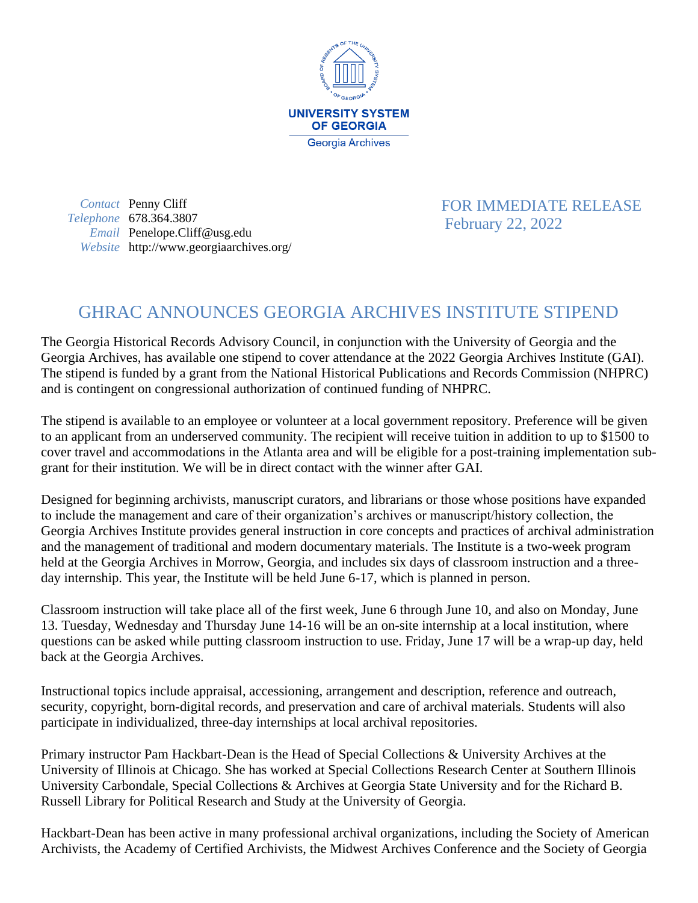

*Contact* Penny Cliff *Telephone* 678.364.3807 *Email* Penelope.Cliff@usg.edu *Website* http://www.georgiaarchives.org/  FOR IMMEDIATE RELEASE February 22, 2022

## GHRAC ANNOUNCES GEORGIA ARCHIVES INSTITUTE STIPEND

The Georgia Historical Records Advisory Council, in conjunction with the University of Georgia and the Georgia Archives, has available one stipend to cover attendance at the 2022 Georgia Archives Institute (GAI). The stipend is funded by a grant from the National Historical Publications and Records Commission (NHPRC) and is contingent on congressional authorization of continued funding of NHPRC.

The stipend is available to an employee or volunteer at a local government repository. Preference will be given to an applicant from an underserved community. The recipient will receive tuition in addition to up to \$1500 to cover travel and accommodations in the Atlanta area and will be eligible for a post-training implementation subgrant for their institution. We will be in direct contact with the winner after GAI.

Designed for beginning archivists, manuscript curators, and librarians or those whose positions have expanded to include the management and care of their organization's archives or manuscript/history collection, the Georgia Archives Institute provides general instruction in core concepts and practices of archival administration and the management of traditional and modern documentary materials. The Institute is a two-week program held at the Georgia Archives in Morrow, Georgia, and includes six days of classroom instruction and a threeday internship. This year, the Institute will be held June 6-17, which is planned in person.

Classroom instruction will take place all of the first week, June 6 through June 10, and also on Monday, June 13. Tuesday, Wednesday and Thursday June 14-16 will be an on-site internship at a local institution, where questions can be asked while putting classroom instruction to use. Friday, June 17 will be a wrap-up day, held back at the Georgia Archives.

Instructional topics include appraisal, accessioning, arrangement and description, reference and outreach, security, copyright, born-digital records, and preservation and care of archival materials. Students will also participate in individualized, three-day internships at local archival repositories.

Primary instructor Pam Hackbart-Dean is the Head of Special Collections & University Archives at the University of Illinois at Chicago. She has worked at Special Collections Research Center at Southern Illinois University Carbondale, Special Collections & Archives at Georgia State University and for the Richard B. Russell Library for Political Research and Study at the University of Georgia.

Hackbart-Dean has been active in many professional archival organizations, including the Society of American Archivists, the Academy of Certified Archivists, the Midwest Archives Conference and the Society of Georgia